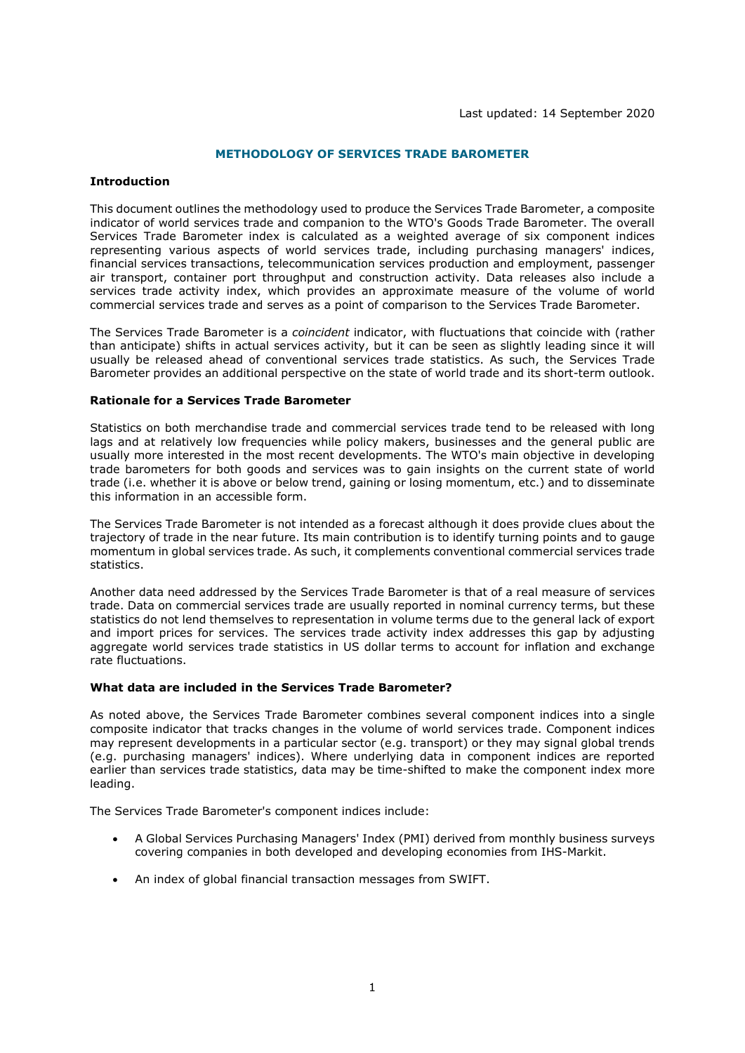# **METHODOLOGY OF SERVICES TRADE BAROMETER**

### **Introduction**

This document outlines the methodology used to produce the Services Trade Barometer, a composite indicator of world services trade and companion to the WTO's Goods Trade Barometer. The overall Services Trade Barometer index is calculated as a weighted average of six component indices representing various aspects of world services trade, including purchasing managers' indices, financial services transactions, telecommunication services production and employment, passenger air transport, container port throughput and construction activity. Data releases also include a services trade activity index, which provides an approximate measure of the volume of world commercial services trade and serves as a point of comparison to the Services Trade Barometer.

The Services Trade Barometer is a *coincident* indicator, with fluctuations that coincide with (rather than anticipate) shifts in actual services activity, but it can be seen as slightly leading since it will usually be released ahead of conventional services trade statistics. As such, the Services Trade Barometer provides an additional perspective on the state of world trade and its short-term outlook.

#### **Rationale for a Services Trade Barometer**

Statistics on both merchandise trade and commercial services trade tend to be released with long lags and at relatively low frequencies while policy makers, businesses and the general public are usually more interested in the most recent developments. The WTO's main objective in developing trade barometers for both goods and services was to gain insights on the current state of world trade (i.e. whether it is above or below trend, gaining or losing momentum, etc.) and to disseminate this information in an accessible form.

The Services Trade Barometer is not intended as a forecast although it does provide clues about the trajectory of trade in the near future. Its main contribution is to identify turning points and to gauge momentum in global services trade. As such, it complements conventional commercial services trade statistics.

Another data need addressed by the Services Trade Barometer is that of a real measure of services trade. Data on commercial services trade are usually reported in nominal currency terms, but these statistics do not lend themselves to representation in volume terms due to the general lack of export and import prices for services. The services trade activity index addresses this gap by adjusting aggregate world services trade statistics in US dollar terms to account for inflation and exchange rate fluctuations.

## **What data are included in the Services Trade Barometer?**

As noted above, the Services Trade Barometer combines several component indices into a single composite indicator that tracks changes in the volume of world services trade. Component indices may represent developments in a particular sector (e.g. transport) or they may signal global trends (e.g. purchasing managers' indices). Where underlying data in component indices are reported earlier than services trade statistics, data may be time-shifted to make the component index more leading.

The Services Trade Barometer's component indices include:

- A Global Services Purchasing Managers' Index (PMI) derived from monthly business surveys covering companies in both developed and developing economies from IHS-Markit.
- An index of global financial transaction messages from SWIFT.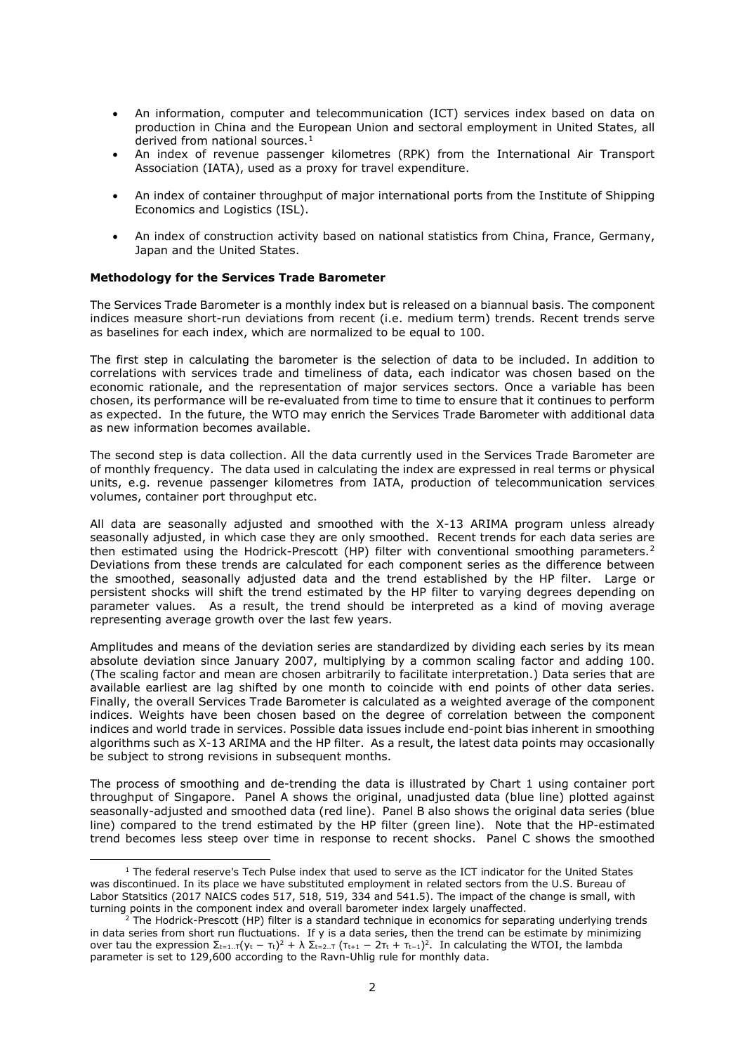- An information, computer and telecommunication (ICT) services index based on data on production in China and the European Union and sectoral employment in United States, all derived from national sources.<sup>[1](#page-1-0)</sup>
- An index of revenue passenger kilometres (RPK) from the International Air Transport Association (IATA), used as a proxy for travel expenditure.
- An index of container throughput of major international ports from the Institute of Shipping Economics and Logistics (ISL).
- An index of construction activity based on national statistics from China, France, Germany, Japan and the United States.

## **Methodology for the Services Trade Barometer**

The Services Trade Barometer is a monthly index but is released on a biannual basis. The component indices measure short-run deviations from recent (i.e. medium term) trends. Recent trends serve as baselines for each index, which are normalized to be equal to 100.

The first step in calculating the barometer is the selection of data to be included. In addition to correlations with services trade and timeliness of data, each indicator was chosen based on the economic rationale, and the representation of major services sectors. Once a variable has been chosen, its performance will be re-evaluated from time to time to ensure that it continues to perform as expected. In the future, the WTO may enrich the Services Trade Barometer with additional data as new information becomes available.

The second step is data collection. All the data currently used in the Services Trade Barometer are of monthly frequency. The data used in calculating the index are expressed in real terms or physical units, e.g. revenue passenger kilometres from IATA, production of telecommunication services volumes, container port throughput etc.

All data are seasonally adjusted and smoothed with the X-13 ARIMA program unless already seasonally adjusted, in which case they are only smoothed. Recent trends for each data series are then estimated using the Hodrick-Prescott (HP) filter with conventional smoothing parameters.<sup>2</sup> Deviations from these trends are calculated for each component series as the difference between the smoothed, seasonally adjusted data and the trend established by the HP filter. Large or persistent shocks will shift the trend estimated by the HP filter to varying degrees depending on parameter values. As a result, the trend should be interpreted as a kind of moving average representing average growth over the last few years.

Amplitudes and means of the deviation series are standardized by dividing each series by its mean absolute deviation since January 2007, multiplying by a common scaling factor and adding 100. (The scaling factor and mean are chosen arbitrarily to facilitate interpretation.) Data series that are available earliest are lag shifted by one month to coincide with end points of other data series. Finally, the overall Services Trade Barometer is calculated as a weighted average of the component indices. Weights have been chosen based on the degree of correlation between the component indices and world trade in services. Possible data issues include end-point bias inherent in smoothing algorithms such as X-13 ARIMA and the HP filter. As a result, the latest data points may occasionally be subject to strong revisions in subsequent months.

The process of smoothing and de-trending the data is illustrated by Chart 1 using container port throughput of Singapore. Panel A shows the original, unadjusted data (blue line) plotted against seasonally-adjusted and smoothed data (red line). Panel B also shows the original data series (blue line) compared to the trend estimated by the HP filter (green line). Note that the HP-estimated trend becomes less steep over time in response to recent shocks. Panel C shows the smoothed

<span id="page-1-0"></span> $<sup>1</sup>$  The federal reserve's Tech Pulse index that used to serve as the ICT indicator for the United States</sup> was discontinued. In its place we have substituted employment in related sectors from the U.S. Bureau of Labor Statsitics (2017 NAICS codes 517, 518, 519, 334 and 541.5). The impact of the change is small, with turning points in the component index and overall barometer index largely unaffected.

<span id="page-1-1"></span><sup>2</sup> The Hodrick-Prescott (HP) filter is a standard technique in economics for separating underlying trends in data series from short run fluctuations. If y is a data series, then the trend can be estimate by minimizing over tau the expression  $\Sigma_{t=1..T}(y_t - \tau_t)^2 + \lambda \Sigma_{t=2..T} (\tau_{t+1} - 2\tau_t + \tau_{t-1})^2$ . In calculating the WTOI, the lambda parameter is set to 129,600 according to the Ravn-Uhlig rule for monthly data.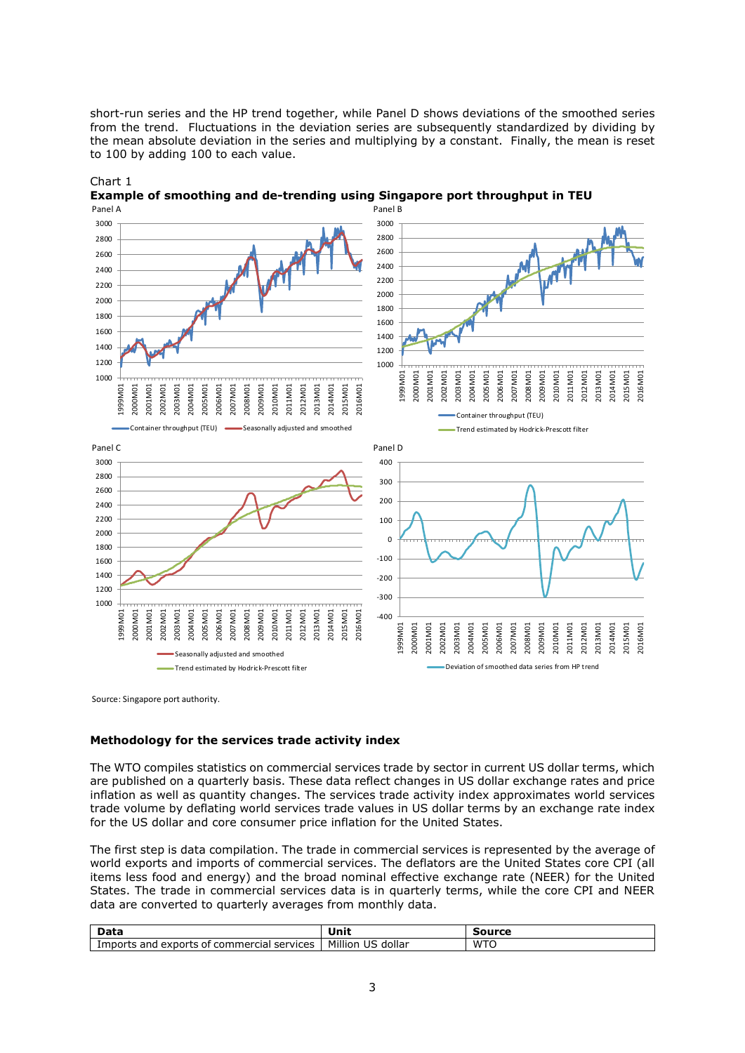short-run series and the HP trend together, while Panel D shows deviations of the smoothed series from the trend. Fluctuations in the deviation series are subsequently standardized by dividing by the mean absolute deviation in the series and multiplying by a constant. Finally, the mean is reset to 100 by adding 100 to each value.



Chart 1 **Example of smoothing and de-trending using Singapore port throughput in TEU**

Source: Singapore port authority.

## **Methodology for the services trade activity index**

The WTO compiles statistics on commercial services trade by sector in current US dollar terms, which are published on a quarterly basis. These data reflect changes in US dollar exchange rates and price inflation as well as quantity changes. The services trade activity index approximates world services trade volume by deflating world services trade values in US dollar terms by an exchange rate index for the US dollar and core consumer price inflation for the United States.

The first step is data compilation. The trade in commercial services is represented by the average of world exports and imports of commercial services. The deflators are the United States core CPI (all items less food and energy) and the broad nominal effective exchange rate (NEER) for the United States. The trade in commercial services data is in quarterly terms, while the core CPI and NEER data are converted to quarterly averages from monthly data.

| 22.5                                                                     | l Init                            |          |
|--------------------------------------------------------------------------|-----------------------------------|----------|
| and<br>. exports<br>commerc<br>services<br>. ∆vr<br>. of<br>cial<br>-411 | Million<br>$\sim$<br>dollar<br>υz | WT<br>TC |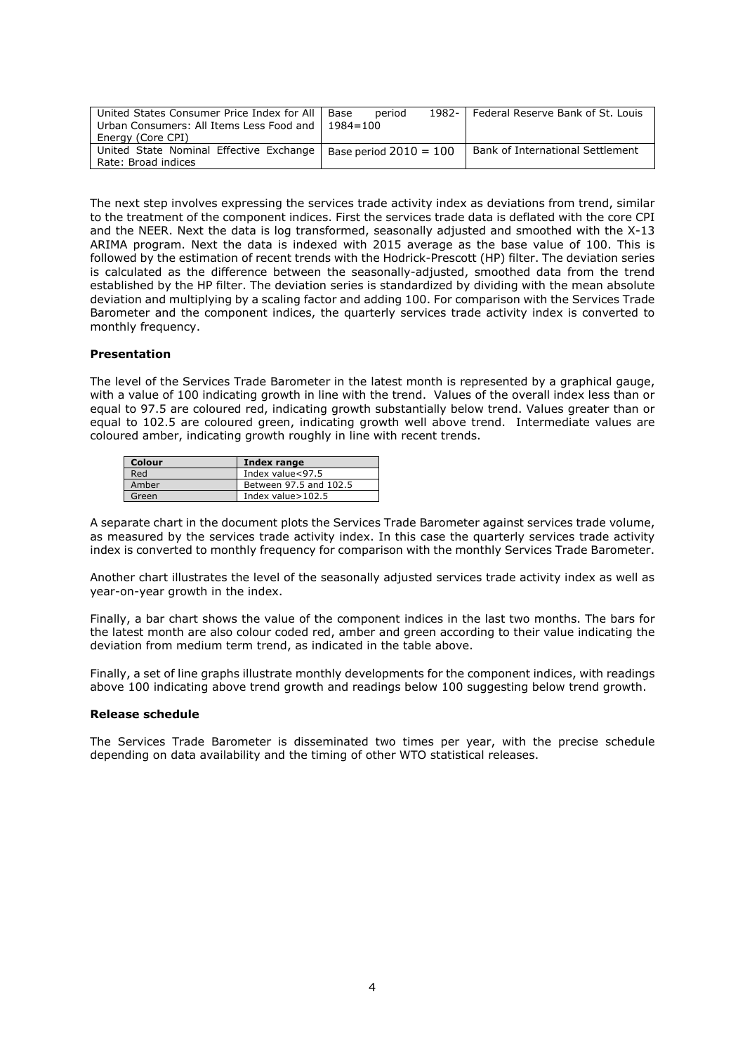| United States Consumer Price Index for All | period<br>Base           | 1982- | Federal Reserve Bank of St. Louis |
|--------------------------------------------|--------------------------|-------|-----------------------------------|
| Urban Consumers: All Items Less Food and   | $1984 = 100$             |       |                                   |
| Energy (Core CPI)                          |                          |       |                                   |
| United State Nominal Effective Exchange    | Base period $2010 = 100$ |       | Bank of International Settlement  |
| Rate: Broad indices                        |                          |       |                                   |

The next step involves expressing the services trade activity index as deviations from trend, similar to the treatment of the component indices. First the services trade data is deflated with the core CPI and the NEER. Next the data is log transformed, seasonally adjusted and smoothed with the X-13 ARIMA program. Next the data is indexed with 2015 average as the base value of 100. This is followed by the estimation of recent trends with the Hodrick-Prescott (HP) filter. The deviation series is calculated as the difference between the seasonally-adjusted, smoothed data from the trend established by the HP filter. The deviation series is standardized by dividing with the mean absolute deviation and multiplying by a scaling factor and adding 100. For comparison with the Services Trade Barometer and the component indices, the quarterly services trade activity index is converted to monthly frequency.

#### **Presentation**

The level of the Services Trade Barometer in the latest month is represented by a graphical gauge, with a value of 100 indicating growth in line with the trend. Values of the overall index less than or equal to 97.5 are coloured red, indicating growth substantially below trend. Values greater than or equal to 102.5 are coloured green, indicating growth well above trend. Intermediate values are coloured amber, indicating growth roughly in line with recent trends.

| Colour | Index range            |
|--------|------------------------|
| Red    | Index value<97.5       |
| Amber  | Between 97.5 and 102.5 |
| Green  | Index value $>102.5$   |

A separate chart in the document plots the Services Trade Barometer against services trade volume, as measured by the services trade activity index. In this case the quarterly services trade activity index is converted to monthly frequency for comparison with the monthly Services Trade Barometer.

Another chart illustrates the level of the seasonally adjusted services trade activity index as well as year-on-year growth in the index.

Finally, a bar chart shows the value of the component indices in the last two months. The bars for the latest month are also colour coded red, amber and green according to their value indicating the deviation from medium term trend, as indicated in the table above.

Finally, a set of line graphs illustrate monthly developments for the component indices, with readings above 100 indicating above trend growth and readings below 100 suggesting below trend growth.

#### **Release schedule**

The Services Trade Barometer is disseminated two times per year, with the precise schedule depending on data availability and the timing of other WTO statistical releases.